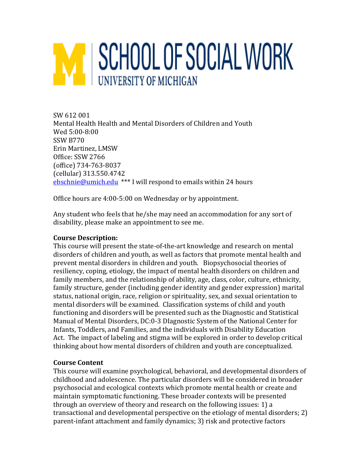# M SCHOOL OF SOCIAL WORK **UNIVERSITY OF MICHIGAN**

SW 612 001 Mental Health Health and Mental Disorders of Children and Youth Wed 5:00-8:00 SSW B770 Erin Martinez, LMSW Office: SSW 2766 (office) 734-763-8037 (cellular) 313.550.4742 [ebschnie@umich.edu](mailto:ebschnie@umich.edu) \*\*\* I will respond to emails within 24 hours

Office hours are 4:00-5:00 on Wednesday or by appointment.

Any student who feels that he/she may need an accommodation for any sort of disability, please make an appointment to see me.

# **Course Description:**

This course will present the state-of-the-art knowledge and research on mental disorders of children and youth, as well as factors that promote mental health and prevent mental disorders in children and youth. Biopsychosocial theories of resiliency, coping, etiology, the impact of mental health disorders on children and family members, and the relationship of ability, age, class, color, culture, ethnicity, family structure, gender (including gender identity and gender expression) marital status, national origin, race, religion or spirituality, sex, and sexual orientation to mental disorders will be examined. Classification systems of child and youth functioning and disorders will be presented such as the Diagnostic and Statistical Manual of Mental Disorders, DC:0-3 DIagnostic System of the National Center for Infants, Toddlers, and Families, and the individuals with Disability Education Act. The impact of labeling and stigma will be explored in order to develop critical thinking about how mental disorders of children and youth are conceptualized.

# **Course Content**

This course will examine psychological, behavioral, and developmental disorders of childhood and adolescence. The particular disorders will be considered in broader psychosocial and ecological contexts which promote mental health or create and maintain symptomatic functioning. These broader contexts will be presented through an overview of theory and research on the following issues: 1) a transactional and developmental perspective on the etiology of mental disorders; 2) parent-infant attachment and family dynamics; 3) risk and protective factors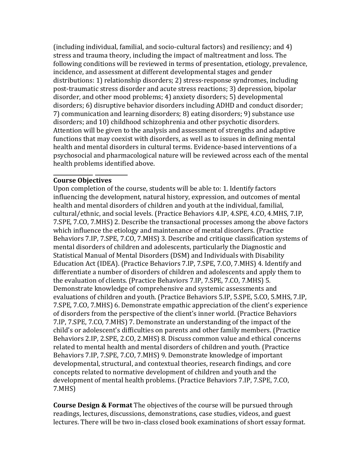(including individual, familial, and socio-cultural factors) and resiliency; and 4) stress and trauma theory, including the impact of maltreatment and loss. The following conditions will be reviewed in terms of presentation, etiology, prevalence, incidence, and assessment at different developmental stages and gender distributions: 1) relationship disorders; 2) stress-response syndromes, including post-traumatic stress disorder and acute stress reactions; 3) depression, bipolar disorder, and other mood problems; 4) anxiety disorders; 5) developmental disorders; 6) disruptive behavior disorders including ADHD and conduct disorder; 7) communication and learning disorders; 8) eating disorders; 9) substance use disorders; and 10) childhood schizophrenia and other psychotic disorders. Attention will be given to the analysis and assessment of strengths and adaptive functions that may coexist with disorders, as well as to issues in defining mental health and mental disorders in cultural terms. Evidence-based interventions of a psychosocial and pharmacological nature will be reviewed across each of the mental health problems identified above.

#### **Course Objectives**

Upon completion of the course, students will be able to: 1. Identify factors influencing the development, natural history, expression, and outcomes of mental health and mental disorders of children and youth at the individual, familial, cultural/ethnic, and social levels. (Practice Behaviors 4.IP, 4.SPE, 4.CO, 4.MHS, 7.IP, 7.SPE, 7.CO, 7.MHS) 2. Describe the transactional processes among the above factors which influence the etiology and maintenance of mental disorders. (Practice Behaviors 7.IP, 7.SPE, 7.CO, 7.MHS) 3. Describe and critique classification systems of mental disorders of children and adolescents, particularly the Diagnostic and Statistical Manual of Mental Disorders (DSM) and Individuals with Disability Education Act (IDEA). (Practice Behaviors 7.IP, 7.SPE, 7.CO, 7.MHS) 4. Identify and differentiate a number of disorders of children and adolescents and apply them to the evaluation of clients. (Practice Behaviors 7.IP, 7.SPE, 7.CO, 7.MHS) 5. Demonstrate knowledge of comprehensive and systemic assessments and evaluations of children and youth. (Practice Behaviors 5.IP, 5.SPE, 5.CO, 5.MHS, 7.IP, 7.SPE, 7.CO, 7.MHS) 6. Demonstrate empathic appreciation of the client's experience of disorders from the perspective of the client's inner world. (Practice Behaviors 7.IP, 7.SPE, 7.CO, 7.MHS) 7. Demonstrate an understanding of the impact of the child's or adolescent's difficulties on parents and other family members. (Practice Behaviors 2.IP, 2.SPE, 2.CO, 2.MHS) 8. Discuss common value and ethical concerns related to mental health and mental disorders of children and youth. (Practice Behaviors 7.IP, 7.SPE, 7.CO, 7.MHS) 9. Demonstrate knowledge of important developmental, structural, and contextual theories, research findings, and core concepts related to normative development of children and youth and the development of mental health problems. (Practice Behaviors 7.IP, 7.SPE, 7.CO, 7.MHS)

**Course Design & Format** The objectives of the course will be pursued through readings, lectures, discussions, demonstrations, case studies, videos, and guest lectures. There will be two in-class closed book examinations of short essay format.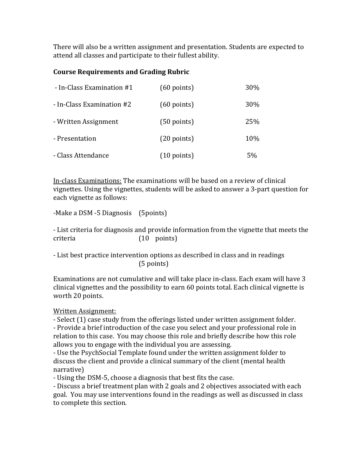There will also be a written assignment and presentation. Students are expected to attend all classes and participate to their fullest ability.

#### **Course Requirements and Grading Rubric**

| - In-Class Examination #1 | $(60$ points)         | 30% |
|---------------------------|-----------------------|-----|
| - In-Class Examination #2 | $(60$ points)         | 30% |
| - Written Assignment      | $(50$ points)         | 25% |
| - Presentation            | $(20$ points)         | 10% |
| - Class Attendance        | $(10 \text{ points})$ | 5%  |

In-class Examinations: The examinations will be based on a review of clinical vignettes. Using the vignettes, students will be asked to answer a 3-part question for each vignette as follows:

-Make a DSM -5 Diagnosis (5points)

- List criteria for diagnosis and provide information from the vignette that meets the criteria  $(10 \text{ points})$  $(10 \text{ points})$ 

- List best practice intervention options as described in class and in readings (5 points)

Examinations are not cumulative and will take place in-class. Each exam will have 3 clinical vignettes and the possibility to earn 60 points total. Each clinical vignette is worth 20 points.

# Written Assignment:

- Select (1) case study from the offerings listed under written assignment folder.

- Provide a brief introduction of the case you select and your professional role in relation to this case. You may choose this role and briefly describe how this role allows you to engage with the individual you are assessing.

- Use the PsychSocial Template found under the written assignment folder to discuss the client and provide a clinical summary of the client (mental health narrative)

- Using the DSM-5, choose a diagnosis that best fits the case.

- Discuss a brief treatment plan with 2 goals and 2 objectives associated with each goal. You may use interventions found in the readings as well as discussed in class to complete this section.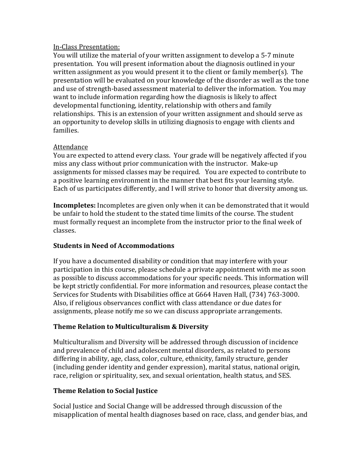#### In-Class Presentation:

You will utilize the material of your written assignment to develop a 5-7 minute presentation. You will present information about the diagnosis outlined in your written assignment as you would present it to the client or family member(s). The presentation will be evaluated on your knowledge of the disorder as well as the tone and use of strength-based assessment material to deliver the information. You may want to include information regarding how the diagnosis is likely to affect developmental functioning, identity, relationship with others and family relationships. This is an extension of your written assignment and should serve as an opportunity to develop skills in utilizing diagnosis to engage with clients and families.

#### Attendance

You are expected to attend every class. Your grade will be negatively affected if you miss any class without prior communication with the instructor. Make-up assignments for missed classes may be required. You are expected to contribute to a positive learning environment in the manner that best fits your learning style. Each of us participates differently, and I will strive to honor that diversity among us.

**Incompletes:** Incompletes are given only when it can be demonstrated that it would be unfair to hold the student to the stated time limits of the course. The student must formally request an incomplete from the instructor prior to the final week of classes.

# **Students in Need of Accommodations**

If you have a documented disability or condition that may interfere with your participation in this course, please schedule a private appointment with me as soon as possible to discuss accommodations for your specific needs. This information will be kept strictly confidential. For more information and resources, please contact the Services for Students with Disabilities office at G664 Haven Hall, (734) 763-3000. Also, if religious observances conflict with class attendance or due dates for assignments, please notify me so we can discuss appropriate arrangements.

# **Theme Relation to Multiculturalism & Diversity**

Multiculturalism and Diversity will be addressed through discussion of incidence and prevalence of child and adolescent mental disorders, as related to persons differing in ability, age, class, color, culture, ethnicity, family structure, gender (including gender identity and gender expression), marital status, national origin, race, religion or spirituality, sex, and sexual orientation, health status, and SES.

# **Theme Relation to Social Justice**

Social Justice and Social Change will be addressed through discussion of the misapplication of mental health diagnoses based on race, class, and gender bias, and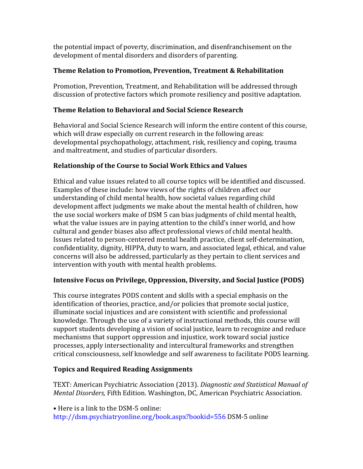the potential impact of poverty, discrimination, and disenfranchisement on the development of mental disorders and disorders of parenting.

# **Theme Relation to Promotion, Prevention, Treatment & Rehabilitation**

Promotion, Prevention, Treatment, and Rehabilitation will be addressed through discussion of protective factors which promote resiliency and positive adaptation.

# **Theme Relation to Behavioral and Social Science Research**

Behavioral and Social Science Research will inform the entire content of this course, which will draw especially on current research in the following areas: developmental psychopathology, attachment, risk, resiliency and coping, trauma and maltreatment, and studies of particular disorders.

# **Relationship of the Course to Social Work Ethics and Values**

Ethical and value issues related to all course topics will be identified and discussed. Examples of these include: how views of the rights of children affect our understanding of child mental health, how societal values regarding child development affect judgments we make about the mental health of children, how the use social workers make of DSM 5 can bias judgments of child mental health, what the value issues are in paying attention to the child's inner world, and how cultural and gender biases also affect professional views of child mental health. Issues related to person-centered mental health practice, client self-determination, confidentiality, dignity, HIPPA, duty to warn, and associated legal, ethical, and value concerns will also be addressed, particularly as they pertain to client services and intervention with youth with mental health problems.

# **Intensive Focus on Privilege, Oppression, Diversity, and Social Justice (PODS)**

This course integrates PODS content and skills with a special emphasis on the identification of theories, practice, and/or policies that promote social justice, illuminate social injustices and are consistent with scientific and professional knowledge. Through the use of a variety of instructional methods, this course will support students developing a vision of social justice, learn to recognize and reduce mechanisms that support oppression and injustice, work toward social justice processes, apply intersectionality and intercultural frameworks and strengthen critical consciousness, self knowledge and self awareness to facilitate PODS learning.

# **Topics and Required Reading Assignments**

TEXT: American Psychiatric Association (2013). *Diagnostic and Statistical Manual of Mental Disorders,* Fifth Edition. Washington, DC, American Psychiatric Association.

• Here is a link to the DSM-5 online: http://dsm.psychiatryonline.org/book.aspx?bookid=556 DSM-5 online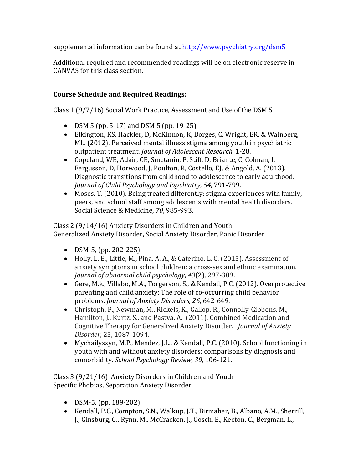supplemental information can be found at http://www.psychiatry.org/dsm5

Additional required and recommended readings will be on electronic reserve in CANVAS for this class section.

# **Course Schedule and Required Readings:**

# Class 1 (9/7/16) Social Work Practice, Assessment and Use of the DSM 5

- DSM 5 (pp. 5-17) and DSM 5 (pp. 19-25)
- Elkington, KS, Hackler, D, McKinnon, K, Borges, C, Wright, ER, & Wainberg, ML. (2012). Perceived mental illness stigma among youth in psychiatric outpatient treatment. *Journal of Adolescent Research,* 1-28.
- Copeland, WE, Adair, CE, Smetanin, P, Stiff, D, Briante, C, Colman, I, Fergusson, D, Horwood, J, Poulton, R, Costello, EJ, & Angold, A. (2013). Diagnostic transitions from childhood to adolescence to early adulthood. *Journal of Child Psychology and Psychiatry, 54,* 791-799.
- Moses, T. (2010). Being treated differently: stigma experiences with family, peers, and school staff among adolescents with mental health disorders. Social Science & Medicine, *70*, 985-993.

#### Class 2 (9/14/16) Anxiety Disorders in Children and Youth Generalized Anxiety Disorder, Social Anxiety Disorder, Panic Disorder

- DSM-5, (pp. 202-225).
- Holly, L. E., Little, M., Pina, A. A., & Caterino, L. C. (2015). Assessment of anxiety symptoms in school children: a cross-sex and ethnic examination. *Journal of abnormal child psychology*, *43*(2), 297-309.
- Gere, M.k., Villabo, M.A., Torgerson, S., & Kendall, P.C. (2012). Overprotective parenting and child anxiety: The role of co-occurring child behavior problems. *Journal of Anxiety Disorders, 26*, 642-649.
- Christoph, P., Newman, M., Rickels, K., Gallop, R., Connolly-Gibbons, M., Hamilton, J., Kurtz, S., and Pastva, A. (2011). Combined Medication and Cognitive Therapy for Generalized Anxiety Disorder. *Journal of Anxiety Disorder*, 25, 1087-1094.
- Mychailyszyn, M.P., Mendez, J.L., & Kendall, P.C. (2010). School functioning in youth with and without anxiety disorders: comparisons by diagnosis and comorbidity. *School Psychology Review, 39*, 106-121.

Class 3 (9/21/16) Anxiety Disorders in Children and Youth Specific Phobias, Separation Anxiety Disorder

- DSM-5, (pp. 189-202).
- Kendall, P.C., Compton, S.N., Walkup, J.T., Birmaher, B., Albano, A.M., Sherrill, J., Ginsburg, G., Rynn, M., McCracken, J., Gosch, E., Keeton, C., Bergman, L.,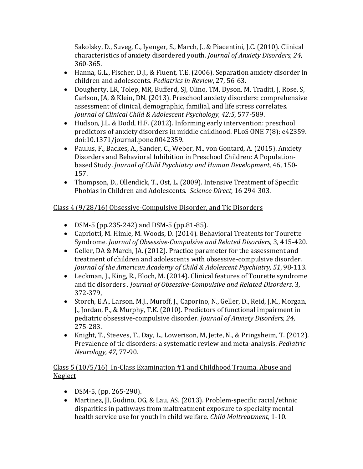Sakolsky, D., Suveg, C., Iyenger, S., March, J., & Piacentini, J.C. (2010). Clinical characteristics of anxiety disordered youth. *Journal of Anxiety Disorders, 24*, 360-365.

- Hanna, G.L., Fischer, D.J., & Fluent, T.E. (2006). Separation anxiety disorder in children and adolescents*. Pediatrics in Review*, 27, 56-63.
- Dougherty, LR, Tolep, MR, Bufferd, SJ, Olino, TM, Dyson, M, Traditi, J, Rose, S, Carlson, JA, & Klein, DN. (2013). Preschool anxiety disorders: comprehensive assessment of clinical, demographic, familial, and life stress correlates. *Journal of Clinical Child & Adolescent Psychology, 42:5*, 577-589.
- Hudson, J.L. & Dodd, H.F. (2012). Informing early intervention: preschool predictors of anxiety disorders in middle childhood. PLoS ONE 7(8): e42359. doi:10.1371/journal.pone.0042359.
- Paulus, F., Backes, A., Sander, C., Weber, M., von Gontard, A. (2015). Anxiety Disorders and Behavioral Inhibition in Preschool Children: A Populationbased Study. *Journal of Child Psychiatry and Human Development*, 46, 150- 157.
- Thompson, D., Ollendick, T., Ost, L. (2009). Intensive Treatment of Specific Phobias in Children and Adolescents. *Science Direct,* 16 294-303.

# Class 4 (9/28/16) Obsessive-Compulsive Disorder, and Tic Disorders

- DSM-5 (pp.235-242) and DSM-5 (pp.81-85).
- Capriotti, M. Himle, M. Woods, D. (2014). Behavioral Treatents for Tourette Syndrome*. Journal of Obsessive-Compulsive and Related Disorders*, 3, 415-420.
- Geller, DA & March, JA. (2012). Practice parameter for the assessment and treatment of children and adolescents with obsessive-compulsive disorder. *Journal of the American Academy of Child & Adolescent Psychiatry, 51*, 98-113.
- Leckman, J., King, R., Bloch, M. (2014). Clinical features of Tourette syndrome and tic disorders *. Journal of Obsessive-Compulsive and Related Disorders*, 3, 372-379,
- Storch, E.A., Larson, M.J., Muroff, J., Caporino, N., Geller, D., Reid, J.M., Morgan, J., Jordan, P., & Murphy, T.K. (2010). Predictors of functional impairment in pediatric obsessive-compulsive disorder. *Journal of Anxiety Disorders, 24*, 275-283.
- Knight, T., Steeves, T., Day, L., Lowerison, M, Jette, N., & Pringsheim, T. (2012). Prevalence of tic disorders: a systematic review and meta-analysis. *Pediatric Neurology, 47*, 77-90.

# Class 5 (10/5/16) In-Class Examination #1 and Childhood Trauma, Abuse and Neglect

- DSM-5, (pp. 265-290).
- Martinez, JI, Gudino, OG, & Lau, AS. (2013). Problem-specific racial/ethnic disparities in pathways from maltreatment exposure to specialty mental health service use for youth in child welfare. *Child Maltreatment,* 1-10.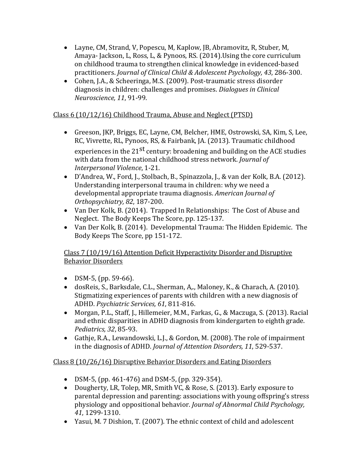- Layne, CM, Strand, V, Popescu, M, Kaplow, JB, Abramovitz, R, Stuber, M, Amaya- Jackson, L, Ross, L, & Pynoos, RS. (2014).Using the core curriculum on childhood trauma to strengthen clinical knowledge in evidenced-based practitioners. *Journal of Clinical Child & Adolescent Psychology, 43*, 286-300.
- Cohen, J.A., & Scheeringa, M.S. (2009). Post-traumatic stress disorder diagnosis in children: challenges and promises. *Dialogues in Clinical Neuroscience, 11*, 91-99.

# Class 6 (10/12/16) Childhood Trauma, Abuse and Neglect (PTSD)

- Greeson, JKP, Briggs, EC, Layne, CM, Belcher, HME, Ostrowski, SA, Kim, S, Lee, RC, Vivrette, RL, Pynoos, RS, & Fairbank, JA. (2013). Traumatic childhood experiences in the  $21^{st}$  century: broadening and building on the ACE studies with data from the national childhood stress network. *Journal of Interpersonal Violence*, 1-21.
- D'Andrea, W., Ford, J., Stolbach, B., Spinazzola, J., & van der Kolk, B.A. (2012). Understanding interpersonal trauma in children: why we need a developmental appropriate trauma diagnosis. *American Journal of Orthopsychiatry, 82*, 187-200.
- Van Der Kolk, B. (2014). Trapped In Relationships: The Cost of Abuse and Neglect. The Body Keeps The Score, pp. 125-137.
- Van Der Kolk, B. (2014). Developmental Trauma: The Hidden Epidemic. The Body Keeps The Score, pp 151-172.

# Class 7 (10/19/16) Attention Deficit Hyperactivity Disorder and Disruptive Behavior Disorders

- DSM-5, (pp. 59-66).
- dosReis, S., Barksdale, C.L., Sherman, A,., Maloney, K., & Charach, A. (2010). Stigmatizing experiences of parents with children with a new diagnosis of ADHD. *Psychiatric Services, 61*, 811-816.
- Morgan, P.L., Staff, J., Hillemeier, M.M., Farkas, G., & Maczuga, S. (2013). Racial and ethnic disparities in ADHD diagnosis from kindergarten to eighth grade. *Pediatrics, 32*, 85-93.
- Gathje, R.A., Lewandowski, L.J., & Gordon, M. (2008). The role of impairment in the diagnosis of ADHD. *Journal of Attention Disorders, 11*, 529-537.

# Class 8 (10/26/16) Disruptive Behavior Disorders and Eating Disorders

- DSM-5, (pp. 461-476) and DSM-5, (pp. 329-354).
- Dougherty, LR, Tolep, MR, Smith VC, & Rose, S. (2013). Early exposure to parental depression and parenting: associations with young offspring's stress physiology and oppositional behavior. *Journal of Abnormal Child Psychology, 41*, 1299-1310.
- Yasui, M. 7 Dishion, T. (2007). The ethnic context of child and adolescent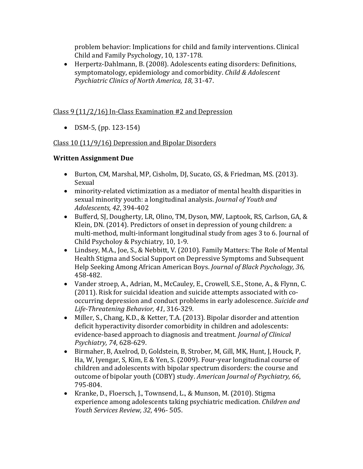problem behavior: Implications for child and family interventions. Clinical Child and Family Psychology, 10, 137-178.

• Herpertz-Dahlmann, B. (2008). Adolescents eating disorders: Definitions, symptomatology, epidemiology and comorbidity. *Child & Adolescent Psychiatric Clinics of North America, 18*, 31-47.

# Class 9 (11/2/16) In-Class Examination #2 and Depression

• DSM-5, (pp. 123-154)

# Class 10 (11/9/16) Depression and Bipolar Disorders

# **Written Assignment Due**

- Burton, CM, Marshal, MP, Cisholm, DJ, Sucato, GS, & Friedman, MS. (2013). Sexual
- minority-related victimization as a mediator of mental health disparities in sexual minority youth: a longitudinal analysis. *Journal of Youth and Adolescents, 42*, 394-402
- Bufferd, SJ, Dougherty, LR, Olino, TM, Dyson, MW, Laptook, RS, Carlson, GA, & Klein, DN. (2014). Predictors of onset in depression of young children: a multi-method, multi-informant longitudinal study from ages 3 to 6. Journal of Child Psycholoy & Psychiatry, 10, 1-9.
- Lindsey, M.A., Joe, S., & Nebbitt, V. (2010). Family Matters: The Role of Mental Health Stigma and Social Support on Depressive Symptoms and Subsequent Help Seeking Among African American Boys. *Journal of Black Psychology, 36,*  458-482.
- Vander stroep, A., Adrian, M., McCauley, E., Crowell, S.E., Stone, A., & Flynn, C. (2011). Risk for suicidal ideation and suicide attempts associated with cooccurring depression and conduct problems in early adolescence. *Suicide and Life-Threatening Behavior, 41*, 316-329.
- Miller, S., Chang, K.D., & Ketter, T.A. (2013). Bipolar disorder and attention deficit hyperactivity disorder comorbidity in children and adolescents: evidence-based approach to diagnosis and treatment*. Journal of Clinical Psychiatry, 74*, 628-629.
- Birmaher, B, Axelrod, D, Goldstein, B, Strober, M, Gill, MK, Hunt, J, Houck, P, Ha, W, Iyengar, S, Kim, E & Yen, S. (2009). Four-year longitudinal course of children and adolescents with bipolar spectrum disorders: the course and outcome of bipolar youth (COBY) study. *American Journal of Psychiatry, 66*, 795-804.
- Kranke, D., Floersch, J., Townsend, L., & Munson, M. (2010). Stigma experience among adolescents taking psychiatric medication. *Children and Youth Services Review, 32*, 496- 505.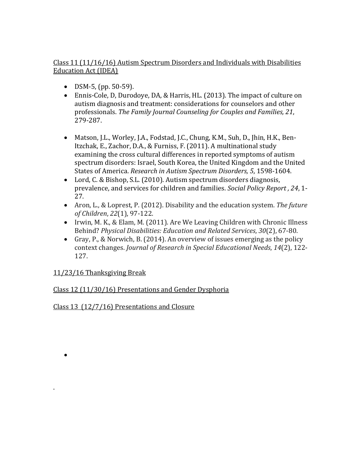# Class 11 (11/16/16) Autism Spectrum Disorders and Individuals with Disabilities Education Act (IDEA)

- DSM-5, (pp. 50-59).
- Ennis-Cole, D, Durodoye, DA, & Harris, HL. (2013). The impact of culture on autism diagnosis and treatment: considerations for counselors and other professionals. *The Family Journal Counseling for Couples and Families, 21*, 279-287.
- Matson, J.L., Worley, J.A., Fodstad, J.C., Chung, K.M., Suh, D., Jhin, H.K., Ben-Itzchak, E., Zachor, D.A., & Furniss, F. (2011). A multinational study examining the cross cultural differences in reported symptoms of autism spectrum disorders: Israel, South Korea, the United Kingdom and the United States of America. *Research in Autism Spectrum Disorders, 5*, 1598-1604.
- Lord, C. & Bishop, S.L. (2010). Autism spectrum disorders diagnosis, prevalence, and services for children and families. *Social Policy Report , 24*, 1- 27.
- Aron, L., & Loprest, P. (2012). Disability and the education system. *The future of Children*, *22*(1), 97-122.
- Irwin, M. K., & Elam, M. (2011). Are We Leaving Children with Chronic Illness Behind? *Physical Disabilities: Education and Related Services*, *30*(2), 67-80.
- Gray, P., & Norwich, B. (2014). An overview of issues emerging as the policy context changes. *Journal of Research in Special Educational Needs*, *14*(2), 122- 127.

# 11/23/16 Thanksgiving Break

•

.

# Class 12 (11/30/16) Presentations and Gender Dysphoria

Class 13 (12/7/16) Presentations and Closure